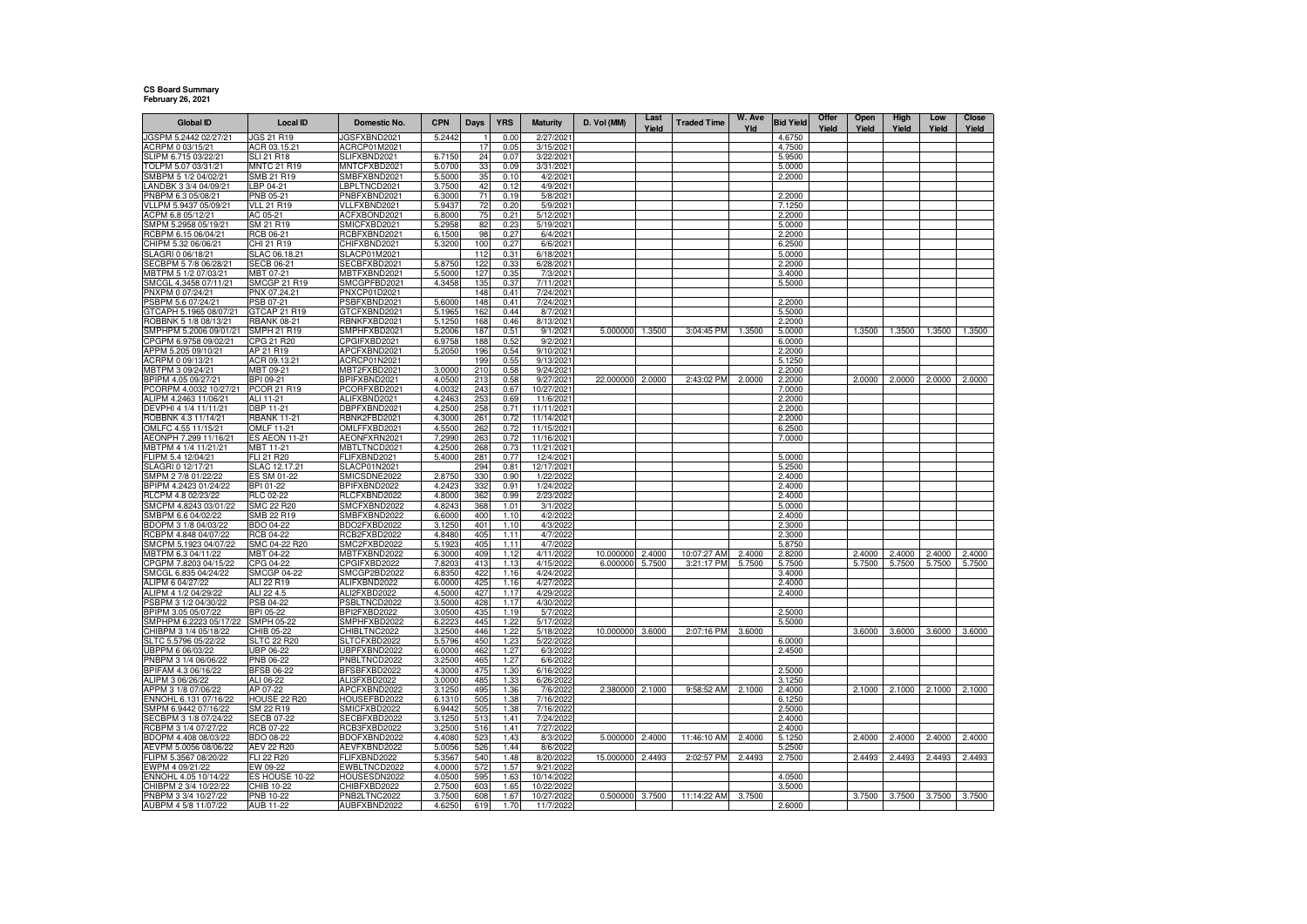## **CS Board Summary February 26, 2021**

| <b>Global ID</b>                                | <b>Local ID</b>                         | Domestic No.                 | <b>CPN</b>       | Days       | <b>YRS</b>   | <b>Maturity</b>          | D. Vol (MM) | Last   | <b>Traded Time</b> | W. Ave | <b>Bid Yield</b> | Offer | Open   | High   | Low    | Close  |
|-------------------------------------------------|-----------------------------------------|------------------------------|------------------|------------|--------------|--------------------------|-------------|--------|--------------------|--------|------------------|-------|--------|--------|--------|--------|
| JGSPM 5.2442 02/27/21                           | <b>JGS 21 R19</b>                       | IGSFXBND2021                 | 5.2442           |            | 0.00         | 2/27/2021                |             | Yield  |                    | Yld    | 4.6750           | Yield | Yield  | Yield  | Yield  | Yield  |
| ACRPM 0 03/15/21                                | ACR 03.15.21                            | ACRCP01M2021                 |                  | 17         | 0.05         | 3/15/2021                |             |        |                    |        | 4.7500           |       |        |        |        |        |
| LIPM 6.715 03/22/21                             | <b>SLI 21 R18</b>                       | SLIFXBND2021                 | 6.7150           | 24         | 0.07         | 3/22/2021                |             |        |                    |        | 5.9500           |       |        |        |        |        |
| OLPM 5.07 03/31/21                              | <b>MNTC 21 R19</b>                      | MNTCFXBD2021                 | 5.0700           | 33         | 0.09         | 3/31/2021                |             |        |                    |        | 5.0000           |       |        |        |        |        |
| SMBPM 5 1/2 04/02/21                            | SMB 21 R19                              | SMBFXBND2021                 | 5.5000           | 35         | 0.10         | 4/2/2021                 |             |        |                    |        | 2.2000           |       |        |        |        |        |
| ANDBK 3 3/4 04/09/21                            | LBP 04-21                               | LBPLTNCD2021                 | 3.7500           | 42         | 0.12         | 4/9/2021                 |             |        |                    |        |                  |       |        |        |        |        |
| NBPM 6.3 05/08/21                               | PNB 05-21                               | PNBFXBND2021                 | 6.3000           | 71         | 0.19         | 5/8/2021                 |             |        |                    |        | 2.2000           |       |        |        |        |        |
| VLLPM 5.9437 05/09/21                           | <b>VLL 21 R19</b>                       | VLLFXBND2021                 | 5.9437           | 72         | 0.20         | 5/9/2021                 |             |        |                    |        | 7.1250           |       |        |        |        |        |
| ACPM 6.8 05/12/21<br>SMPM 5.2958 05/19/21       | AC 05-21<br>SM 21 R19                   | ACFXBOND2021<br>SMICFXBD2021 | 6.8000<br>5.2958 | 75<br>82   | 0.21<br>0.23 | 5/12/2021<br>5/19/2021   |             |        |                    |        | 2.2000<br>5.0000 |       |        |        |        |        |
| RCBPM 6.15 06/04/21                             | <b>RCB 06-21</b>                        | RCBFXBND2021                 | 6.1500           | 98         | 0.27         | 6/4/2021                 |             |        |                    |        | 2.2000           |       |        |        |        |        |
| HIPM 5.32 06/06/21                              | CHI 21 R19                              | CHIFXBND2021                 | 5.3200           | 100        | 0.27         | 6/6/2021                 |             |        |                    |        | 6.2500           |       |        |        |        |        |
| LAGRI 0 06/18/21                                | SLAC 06.18.21                           | SLACP01M2021                 |                  | 112        | 0.31         | 6/18/2021                |             |        |                    |        | 5.0000           |       |        |        |        |        |
| ECBPM 5 7/8 06/28/21                            | <b>SECB 06-21</b>                       | SECBFXBD2021                 | 5.8750           | 122        | 0.33         | 6/28/2021                |             |        |                    |        | 2.2000           |       |        |        |        |        |
| MBTPM 5 1/2 07/03/21                            | MBT 07-21                               | MBTFXBND2021                 | 5.5000           | 127        | 0.35         | 7/3/2021                 |             |        |                    |        | 3.4000           |       |        |        |        |        |
| SMCGL 4.3458 07/11/21                           | SMCGP 21 R19                            | SMCGPFBD2021                 | 4.3458           | 135        | 0.37         | 7/11/2021                |             |        |                    |        | 5.5000           |       |        |        |        |        |
| PNXPM 0 07/24/21                                | PNX 07.24.21                            | PNXCP01D2021                 |                  | 148        | 0.41         | 7/24/2021                |             |        |                    |        |                  |       |        |        |        |        |
| PSBPM 5.6 07/24/21                              | PSB 07-21                               | PSBFXBND2021                 | 5.6000           | 148        | 0.41         | 7/24/2021                |             |        |                    |        | 2.2000           |       |        |        |        |        |
| GTCAPH 5.1965 08/07/21<br>ROBBNK 5 1/8 08/13/21 | GTCAP 21 R19<br><b>RBANK 08-21</b>      | GTCFXBND2021<br>RBNKFXBD2021 | 5.1965<br>5.1250 | 162<br>168 | 0.44<br>0.46 | 8/7/2021<br>8/13/2021    |             |        |                    |        | 5.5000<br>2.2000 |       |        |        |        |        |
| SMPHPM 5.2006 09/01/21                          | SMPH 21 R19                             | SMPHFXBD2021                 | 5.2006           | 187        | 0.51         | 9/1/202                  | 5.000000    | 1.3500 | 3:04:45 PM         | 1.3500 | 5.0000           |       | 1.3500 | 1.3500 | 1.3500 | 1.3500 |
| PGPM 6.9758 09/02/21                            | CPG 21 R20                              | CPGIFXBD2021                 | 6.9758           | 188        | 0.52         | 9/2/2021                 |             |        |                    |        | 6.0000           |       |        |        |        |        |
| APPM 5.205 09/10/21                             | AP 21 R19                               | APCFXBND2021                 | 5.2050           | 196        | 0.54         | 9/10/2021                |             |        |                    |        | 2.2000           |       |        |        |        |        |
| ACRPM 0 09/13/21                                | ACR 09.13.21                            | ACRCP01N2021                 |                  | 199        | 0.55         | 9/13/2021                |             |        |                    |        | 5.1250           |       |        |        |        |        |
| MBTPM 3 09/24/21                                | MBT 09-21                               | MBT2FXBD2021                 | 3.0000           | 210        | 0.58         | 9/24/2021                |             |        |                    |        | 2.2000           |       |        |        |        |        |
| BPIPM 4.05 09/27/21                             | BPI 09-21                               | BPIFXBND2021                 | 4.0500           | 213        | 0.58         | 9/27/2021                | 22.000000   | 2.0000 | 2:43:02 PM         | 2.0000 | 2.2000           |       | 2.0000 | 2.0000 | 2.0000 | 2.0000 |
| PCORPM 4.0032 10/27/21                          | PCOR 21 R19                             | PCORFXBD2021                 | 4.0032           | 243        | 0.67         | 10/27/2021               |             |        |                    |        | 7.0000           |       |        |        |        |        |
| ALIPM 4.2463 11/06/21                           | ALI 11-21                               | ALIFXBND2021                 | 4.246            | 253        | 0.69         | 11/6/2021                |             |        |                    |        | 2.2000           |       |        |        |        |        |
| DEVPHI 4 1/4 11/11/21                           | DBP 11-21                               | DBPFXBND2021                 | 4.2500           | 258        | 0.71         | 11/11/2021               |             |        |                    |        | 2.2000           |       |        |        |        |        |
| ROBBNK 4.3 11/14/21<br>OMLFC 4.55 11/15/21      | <b>RBANK 11-21</b><br><b>OMLF 11-21</b> | RBNK2FBD2021<br>OMLFFXBD2021 | 4.3000           | 261        | 0.72         | 11/14/2021<br>11/15/2021 |             |        |                    |        | 2.2000           |       |        |        |        |        |
| LEONPH 7.299 11/16/21                           | <b>ES AEON 11-21</b>                    | AEONFXRN2021                 | 4.5500<br>7.2990 | 262<br>263 | 0.72<br>0.72 | 11/16/2021               |             |        |                    |        | 6.2500<br>7.0000 |       |        |        |        |        |
| 1BTPM 4 1/4 11/21/21                            | MBT 11-21                               | MBTLTNCD2021                 | 4.2500           | 268        | 0.73         | 11/21/2021               |             |        |                    |        |                  |       |        |        |        |        |
| FLIPM 5.4 12/04/21                              | FLI 21 R20                              | FLIFXBND2021                 | 5.4000           | 281        | 0.77         | 12/4/2021                |             |        |                    |        | 5.0000           |       |        |        |        |        |
| SLAGRI 0 12/17/21                               | SLAC 12.17.21                           | SLACP01N2021                 |                  | 294        | 0.81         | 12/17/2021               |             |        |                    |        | 5.2500           |       |        |        |        |        |
| MPM 2 7/8 01/22/22                              | ES SM 01-22                             | SMICSDNE2022                 | 2.8750           | 330        | 0.90         | 1/22/2022                |             |        |                    |        | 2.4000           |       |        |        |        |        |
| BPIPM 4.2423 01/24/22                           | BPI 01-22                               | BPIFXBND2022                 | 4.2423           | 332        | 0.91         | 1/24/2022                |             |        |                    |        | 2.4000           |       |        |        |        |        |
| RLCPM 4.8 02/23/22                              | RLC 02-22                               | RLCFXBND2022                 | 4.8000           | 362        | 0.99         | 2/23/2022                |             |        |                    |        | 2.4000           |       |        |        |        |        |
| MCPM 4.8243 03/01/22                            | SMC 22 R20                              | SMCFXBND2022                 | 4.8243           | 368        | 1.01         | 3/1/2022                 |             |        |                    |        | 5.0000           |       |        |        |        |        |
| SMBPM 6.6 04/02/22                              | SMB 22 R19                              | SMBFXBND2022                 | 6.6000           | 400<br>401 | 1.10         | 4/2/2022                 |             |        |                    |        | 2.4000           |       |        |        |        |        |
| BDOPM 3 1/8 04/03/22<br>RCBPM 4.848 04/07/22    | BDO 04-22<br><b>RCB 04-22</b>           | BDO2FXBD2022<br>RCB2FXBD2022 | 3.1250<br>4.8480 | 405        | 1.10<br>1.11 | 4/3/2022<br>4/7/2022     |             |        |                    |        | 2.3000<br>2.3000 |       |        |        |        |        |
| SMCPM 5.1923 04/07/22                           | SMC 04-22 R20                           | SMC2FXBD2022                 | 5.1923           | 405        | 1.11         | 4/7/202                  |             |        |                    |        | 5.8750           |       |        |        |        |        |
| MBTPM 6.3 04/11/22                              | MBT 04-22                               | MBTFXBND2022                 | 6.3000           | 409        | 1.12         | 4/11/2022                | 10.000000   | 2.4000 | 10:07:27 AM        | 2.4000 | 2.8200           |       | 2.4000 | 2.4000 | 2.4000 | 2.4000 |
| CPGPM 7.8203 04/15/22                           | CPG 04-22                               | CPGIFXBD2022                 | 7,8203           | 413        | 1.13         | 4/15/202                 | 6.000000    | 5.7500 | 3:21:17 PM         | 5.7500 | 5.7500           |       | 5.7500 | 5.7500 | 5.7500 | 5.7500 |
| SMCGL 6.835 04/24/22                            | <b>SMCGP 04-22</b>                      | SMCGP2BD2022                 | 6.8350           | 422        | 1.16         | 4/24/202                 |             |        |                    |        | 3.4000           |       |        |        |        |        |
| ALIPM 6 04/27/22                                | ALI 22 R19                              | ALIFXBND2022                 | 6.000            | 425        | 1.16         | 4/27/2022                |             |        |                    |        | 2.4000           |       |        |        |        |        |
| ALIPM 4 1/2 04/29/22                            | ALI 22 4.5                              | ALI2FXBD2022                 | 4.5000           | 427        | 1.17         | 4/29/2022                |             |        |                    |        | 2.4000           |       |        |        |        |        |
| PSBPM 3 1/2 04/30/22                            | PSB 04-22                               | PSBLTNCD2022                 | 3.5000           | 428        | 1.17         | 4/30/2022                |             |        |                    |        |                  |       |        |        |        |        |
| BPIPM 3.05 05/07/22<br>SMPHPM 6.2223 05/17/22   | BPI 05-22<br><b>SMPH 05-22</b>          | BPI2FXBD2022<br>SMPHFXBD2022 | 3.0500<br>6.2223 | 435<br>445 | 1.19<br>1.22 | 5/7/2022<br>5/17/2022    |             |        |                    |        | 2.5000<br>5.5000 |       |        |        |        |        |
| CHIBPM 3 1/4 05/18/22                           | CHIB 05-22                              | CHIBLTNC2022                 | 3.2500           | 446        | 1.22         | 5/18/2022                | 10.000000   | 3.6000 | 2:07:16 PM         | 3.6000 |                  |       | 3.6000 | 3.6000 | 3.6000 | 3.6000 |
| SLTC 5.5796 05/22/22                            | <b>SLTC 22 R20</b>                      | SLTCFXBD2022                 | 5.5796           | 450        | 1.23         | 5/22/2022                |             |        |                    |        | 6.0000           |       |        |        |        |        |
| BPPM 6 06/03/22                                 | UBP 06-22                               | UBPFXBND2022                 | 6.0000           | 462        | 1.27         | 6/3/2022                 |             |        |                    |        | 2.4500           |       |        |        |        |        |
| PNBPM 3 1/4 06/06/22                            | PNB 06-22                               | PNBLTNCD2022                 | 3.2500           | 465        | 1.27         | 6/6/2022                 |             |        |                    |        |                  |       |        |        |        |        |
| BPIFAM 4.3 06/16/22                             | <b>BFSB 06-22</b>                       | BFSBFXBD2022                 | 4.3000           | 475        | 1.30         | 6/16/2022                |             |        |                    |        | 2.5000           |       |        |        |        |        |
| ALIPM 3 06/26/22                                | ALI 06-22                               | ALI3FXBD2022                 | 3.0000           | 485        | 1.33         | 6/26/2022                |             |        |                    |        | 3.1250           |       |        |        |        |        |
| APPM 3 1/8 07/06/22                             | AP 07-22                                | APCFXBND2022                 | 3.1250           | 495        | 1.36         | 7/6/2022                 | 2.380000    | 2.1000 | 9:58:52 AM         | 2.1000 | 2.4000           |       | 2.1000 | 2.1000 | 2.1000 | 2.1000 |
| ENNOHL 6.131 07/16/22                           | HOUSE 22 R20                            | HOUSEFBD2022                 | 6.1310           | 505        | 1.38         | 7/16/2022                |             |        |                    |        | 6.1250           |       |        |        |        |        |
| SMPM 6.9442 07/16/22                            | SM 22 R19                               | SMICFXBD2022<br>SECBFXBD2022 | 6.9442<br>3.1250 | 505<br>513 | 1.38<br>1.41 | 7/16/2022                |             |        |                    |        | 2.5000           |       |        |        |        |        |
| ECBPM 3 1/8 07/24/22<br>RCBPM 3 1/4 07/27/22    | <b>SECB 07-22</b><br>RCB 07-22          | RCB3FXBD2022                 | 3.2500           | 516        | 1.41         | 7/24/2022<br>7/27/2022   |             |        |                    |        | 2.4000<br>2.4000 |       |        |        |        |        |
| BDOPM 4.408 08/03/22                            | BDO 08-22                               | BDOFXBND2022                 | 4.4080           | 523        | 1.43         | 8/3/2022                 | 5.000000    | 2.4000 | 11:46:10 AM        | 2.4000 | 5.1250           |       | 2.4000 | 2.4000 | 2.4000 | 2.4000 |
| EVPM 5.0056 08/06/22                            | AEV 22 R20                              | AEVFXBND2022                 | 5.0056           | 526        | 1.44         | 8/6/2022                 |             |        |                    |        | 5.2500           |       |        |        |        |        |
| LIPM 5.3567 08/20/22                            | <b>FLI 22 R20</b>                       | FLIFXBND2022                 | 5.3567           | 540        | 1.48         | 8/20/2022                | 15.000000   | 2.4493 | 2:02:57 PM         | 2.4493 | 2.7500           |       | 2.4493 | 2.4493 | 2.4493 | 2.4493 |
| WPM 4 09/21/22                                  | EW 09-22                                | EWBLTNCD2022                 | 4.0000           | 572        | 1.57         | 9/21/2022                |             |        |                    |        |                  |       |        |        |        |        |
| ENNOHL 4.05 10/14/22                            | ES HOUSE 10-22                          | HOUSESDN2022                 | 4.0500           | 595        | 1.63         | 10/14/2022               |             |        |                    |        | 4.0500           |       |        |        |        |        |
| CHIBPM 2 3/4 10/22/22                           | CHIB 10-22                              | CHIBFXBD2022                 | 2.7500           | 603        | 1.65         | 10/22/202                |             |        |                    |        | 3.5000           |       |        |        |        |        |
| PNBPM 3 3/4 10/27/22                            | PNB 10-22                               | PNB2LTNC2022                 | 3.7500           | 608        | 1.67         | 10/27/2022               | 0.500000    | 3.7500 | 11:14:22 AM        | 3.7500 |                  |       | 3.7500 | 3.7500 | 3.7500 | 3.7500 |
| AUBPM 4 5/8 11/07/22                            | AUB 11-22                               | AUBFXBND2022                 | 4.6250           | 619        | 1.70         | 11/7/2022                |             |        |                    |        | 2.6000           |       |        |        |        |        |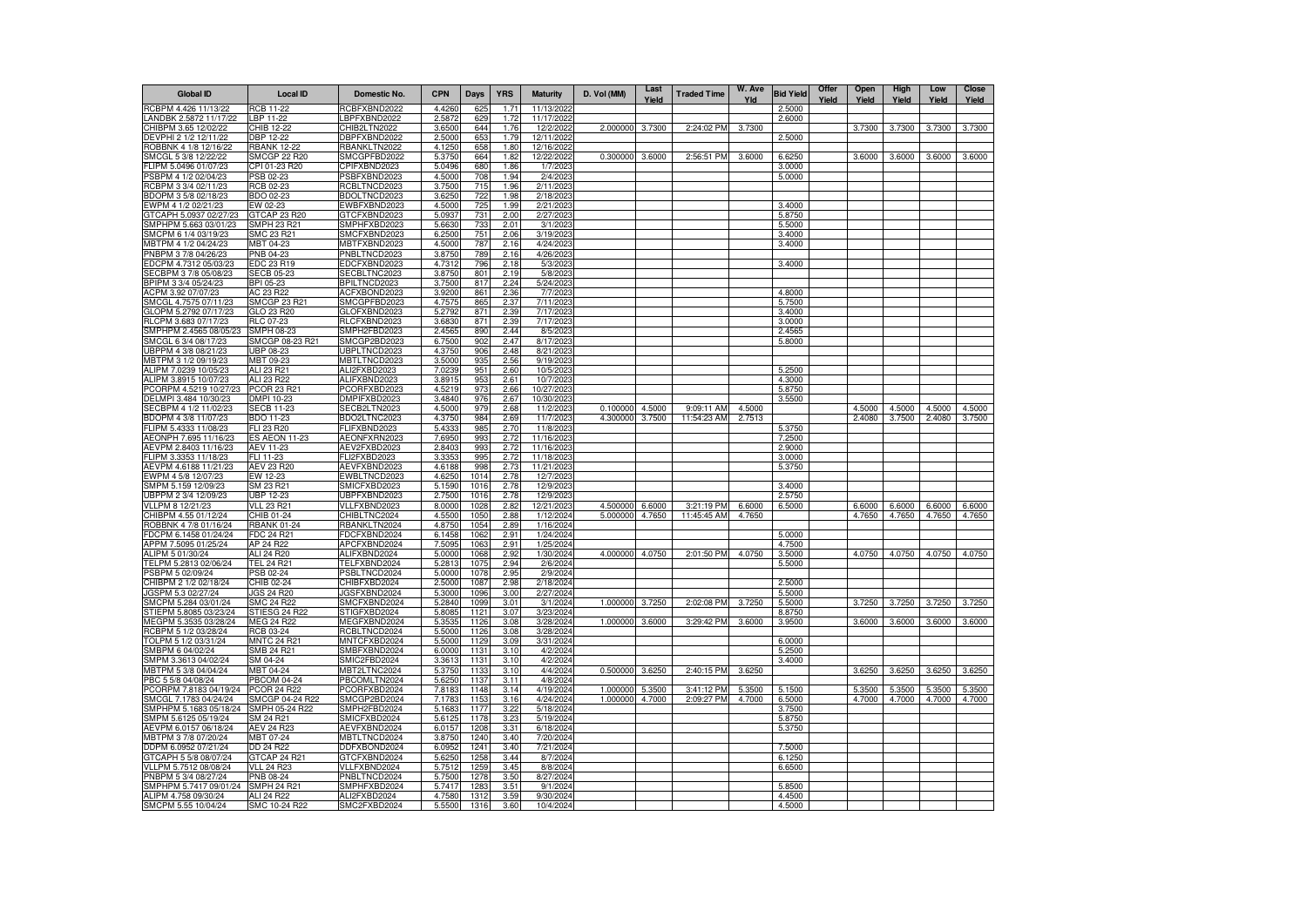| <b>Global ID</b>                                | <b>Local ID</b>                    | Domestic No.                 | <b>CPN</b>       | Days         | <b>YRS</b>   | <b>Maturity</b>          | D. Vol (MM) | Last<br>Yield | <b>Traded Time</b> | W. Ave<br>Yld | <b>Bid Yield</b> | Offer<br>Yield | Open<br>Yield | High<br>Yield | Low<br>Yield | <b>Close</b><br>Yield |
|-------------------------------------------------|------------------------------------|------------------------------|------------------|--------------|--------------|--------------------------|-------------|---------------|--------------------|---------------|------------------|----------------|---------------|---------------|--------------|-----------------------|
| RCBPM 4.426 11/13/22                            | <b>RCB 11-22</b>                   | RCBFXBND2022                 | 4.426            | 625          | 1.7          | 11/13/2022               |             |               |                    |               | 2.5000           |                |               |               |              |                       |
| LANDBK 2.5872 11/17/22                          | LBP 11-22                          | BPFXBND2022                  | 2.5872           | 629          | 1.72         | 11/17/2022               |             |               |                    |               | 2.6000           |                |               |               |              |                       |
| CHIBPM 3.65 12/02/22                            | CHIB 12-22                         | CHIB2LTN2022                 | 3.6500           | 644          | 1.76         | 12/2/2022                | 2.000000    | 3.7300        | 2:24:02 PM         | 3.7300        |                  |                | 3.7300        | 3.7300        | 3.7300       | 3.7300                |
| DEVPHI 2 1/2 12/11/22<br>ROBBNK 4 1/8 12/16/22  | DBP 12-22<br><b>RBANK 12-22</b>    | DBPFXBND2022<br>RBANKLTN2022 | 2.5000<br>4.1250 | 653<br>658   | 1.79<br>1.80 | 12/11/2022<br>12/16/2022 |             |               |                    |               | 2.5000           |                |               |               |              |                       |
| SMCGL 5 3/8 12/22/22                            | <b>SMCGP 22 R20</b>                | SMCGPFBD2022                 | 5.3750           | 664          | 1.82         | 12/22/2022               | 0.300000    | 3.6000        | 2:56:51 PM         | 3.6000        | 6.6250           |                | 3.6000        | 3.6000        | 3.6000       | 3.6000                |
| FLIPM 5.0496 01/07/23                           | CPI 01-23 R20                      | CPIFXBND2023                 | 5.0496           | 680          | 1.86         | 1/7/2023                 |             |               |                    |               | 3.0000           |                |               |               |              |                       |
| PSBPM 4 1/2 02/04/23                            | PSB 02-23                          | PSBFXBND2023                 | 4.5000           | 708          | 1.94         | 2/4/2023                 |             |               |                    |               | 5.0000           |                |               |               |              |                       |
| RCBPM 3 3/4 02/11/23                            | <b>RCB 02-23</b>                   | RCBLTNCD2023                 | 3.7500           | 715          | 1.96         | 2/11/2023                |             |               |                    |               |                  |                |               |               |              |                       |
| BDOPM 3 5/8 02/18/23                            | BDO 02-23                          | BDOLTNCD2023                 | 3.6250           | 722          | 1.98         | 2/18/2023                |             |               |                    |               |                  |                |               |               |              |                       |
| EWPM 4 1/2 02/21/23                             | EW 02-23                           | EWBFXBND2023                 | 4.5000           | 725          | 1.99         | 2/21/2023                |             |               |                    |               | 3.4000           |                |               |               |              |                       |
| GTCAPH 5.0937 02/27/23<br>SMPHPM 5.663 03/01/23 | GTCAP 23 R20<br><b>SMPH 23 R21</b> | GTCFXBND2023<br>SMPHFXBD2023 | 5.093<br>5.663   | 731<br>733   | 2.00<br>2.01 | 2/27/202<br>3/1/202      |             |               |                    |               | 5.8750<br>5.5000 |                |               |               |              |                       |
| SMCPM 6 1/4 03/19/23                            | SMC 23 R21                         | SMCFXBND2023                 | 6.2500           | 751          | 2.06         | 3/19/2023                |             |               |                    |               | 3.4000           |                |               |               |              |                       |
| MBTPM 4 1/2 04/24/23                            | MBT 04-23                          | MBTFXBND2023                 | 4.5000           | 787          | 2.16         | 4/24/202                 |             |               |                    |               | 3.4000           |                |               |               |              |                       |
| PNBPM 3 7/8 04/26/23                            | PNB 04-23                          | PNBLTNCD2023                 | 3.8750           | 789          | 2.16         | 4/26/202                 |             |               |                    |               |                  |                |               |               |              |                       |
| EDCPM 4.7312 05/03/23                           | EDC 23 R19                         | EDCFXBND2023                 | 4.7312           | 796          | 2.18         | 5/3/202                  |             |               |                    |               | 3.4000           |                |               |               |              |                       |
| SECBPM 3 7/8 05/08/23                           | <b>SECB 05-23</b>                  | SECBLTNC2023                 | 3.8750           | 801          | 2.19         | 5/8/2023                 |             |               |                    |               |                  |                |               |               |              |                       |
| BPIPM 3 3/4 05/24/23                            | BPI 05-23                          | BPILTNCD2023                 | 3.7500           | 817          | 2.24         | 5/24/202                 |             |               |                    |               |                  |                |               |               |              |                       |
| ACPM 3.92 07/07/23<br>SMCGL 4.7575 07/11/23     | AC 23 R22<br><b>SMCGP 23 R21</b>   | ACFXBOND2023<br>SMCGPFBD2023 | 3.9200<br>4.7575 | 861<br>865   | 2.36<br>2.37 | 7/7/2023<br>7/11/2023    |             |               |                    |               | 4.8000<br>5.7500 |                |               |               |              |                       |
| GLOPM 5.2792 07/17/23                           | GLO 23 R20                         | GLOFXBND2023                 | 5.2792           | 871          | 2.39         | 7/17/2023                |             |               |                    |               | 3.4000           |                |               |               |              |                       |
| RLCPM 3.683 07/17/23                            | RLC 07-23                          | RLCFXBND2023                 | 3.6830           | 871          | 2.39         | 7/17/2023                |             |               |                    |               | 3.0000           |                |               |               |              |                       |
| SMPHPM 2.4565 08/05/23                          | SMPH 08-23                         | SMPH2FBD2023                 | 2.4565           | 890          | 2.44         | 8/5/2023                 |             |               |                    |               | 2.4565           |                |               |               |              |                       |
| SMCGL 6 3/4 08/17/23                            | SMCGP 08-23 R21                    | SMCGP2BD2023                 | 6.7500           | 902          | 2.47         | 8/17/2023                |             |               |                    |               | 5.8000           |                |               |               |              |                       |
| UBPPM 4 3/8 08/21/23                            | UBP 08-23                          | UBPLTNCD2023                 | 4.3750           | 906          | 2.48         | 8/21/2023                |             |               |                    |               |                  |                |               |               |              |                       |
| MBTPM 3 1/2 09/19/23                            | MBT 09-23                          | MBTLTNCD2023                 | 3.5000           | 935          | 2.56         | 9/19/2023                |             |               |                    |               |                  |                |               |               |              |                       |
| ALIPM 7.0239 10/05/23<br>ALIPM 3.8915 10/07/23  | ALI 23 R21<br>ALI 23 R22           | ALI2FXBD2023<br>ALIFXBND2023 | 7.0239<br>3.8915 | 951<br>953   | 2.60<br>2.61 | 10/5/2023<br>10/7/202    |             |               |                    |               | 5.2500<br>4.3000 |                |               |               |              |                       |
| PCORPM 4.5219 10/27/23                          | PCOR 23 R21                        | PCORFXBD2023                 | 4.5219           | 973          | 2.66         | 10/27/2023               |             |               |                    |               | 5.8750           |                |               |               |              |                       |
| DELMPI 3.484 10/30/23                           | DMPI 10-23                         | DMPIFXBD2023                 | 3.4840           | 976          | 2.67         | 10/30/2023               |             |               |                    |               | 3.5500           |                |               |               |              |                       |
| SECBPM 4 1/2 11/02/23                           | SECB 11-23                         | SECB2LTN2023                 | 4.5000           | 979          | 2.68         | 11/2/2023                | 0.100000    | 4.5000        | 9:09:11 AM         | 4.5000        |                  |                | 4.5000        | 4.5000        | 4.5000       | 4.5000                |
| BDOPM 4 3/8 11/07/23                            | BDO 11-23                          | BDO2LTNC2023                 | 4.3750           | 984          | 2.69         | 11/7/2023                | 4.300000    | 3.7500        | 11:54:23 AM        | 2.7513        |                  |                | 2.4080        | 3.7500        | 2.4080       | 3.7500                |
| FLIPM 5.4333 11/08/23                           | <b>FLI 23 R20</b>                  | FLIFXBND2023                 | 5.433            | 985          | 2.70         | 11/8/2023                |             |               |                    |               | 5.3750           |                |               |               |              |                       |
| AEONPH 7.695 11/16/23                           | <b>ES AEON 11-23</b>               | AEONFXRN2023                 | 7.6950           | 993          | 2.72         | 11/16/202                |             |               |                    |               | 7.2500           |                |               |               |              |                       |
| AEVPM 2.8403 11/16/23<br>FLIPM 3.3353 11/18/23  | AEV 11-23<br>FLI 11-23             | AEV2FXBD2023<br>FLI2FXBD2023 | 2.8403<br>3.3353 | 993<br>995   | 2.72<br>2.72 | 11/16/202<br>11/18/2023  |             |               |                    |               | 2.9000<br>3.0000 |                |               |               |              |                       |
| AEVPM 4.6188 11/21/23                           | <b>AEV 23 R20</b>                  | AEVFXBND2023                 | 4.6188           | 998          | 2.73         | 11/21/202                |             |               |                    |               | 5.3750           |                |               |               |              |                       |
| EWPM 4 5/8 12/07/23                             | EW 12-23                           | EWBLTNCD2023                 | 4.6250           | 1014         | 2.78         | 12/7/202                 |             |               |                    |               |                  |                |               |               |              |                       |
| SMPM 5.159 12/09/23                             | SM 23 R21                          | SMICFXBD2023                 | 5.1590           | 1016         | 2.78         | 12/9/2023                |             |               |                    |               | 3.4000           |                |               |               |              |                       |
| UBPPM 2 3/4 12/09/23                            | UBP 12-23                          | JBPFXBND2023                 | 2.7500           | 1016         | 2.78         | 12/9/202                 |             |               |                    |               | 2.5750           |                |               |               |              |                       |
| VLLPM 8 12/21/23                                | VLL 23 R21                         | VLLFXBND2023                 | 8.0000           | 1028         | 2.82         | 12/21/2023               | 4.500000    | 6.6000        | 3:21:19 PM         | 6.6000        | 6.5000           |                | 6.6000        | 6.6000        | 6.6000       | 6.6000                |
| CHIBPM 4.55 01/12/24<br>ROBBNK 4 7/8 01/16/24   | CHIB 01-24<br><b>RBANK 01-24</b>   | CHIBLTNC2024<br>RBANKLTN2024 | 4.5500<br>4.8750 | 1050<br>1054 | 2.88<br>2.89 | 1/12/2024<br>1/16/2024   | 5.000000    | 4.7650        | 11:45:45 AM        | 4.7650        |                  |                | 4.7650        | 4.7650        | 4.7650       | 4.7650                |
| FDCPM 6.1458 01/24/24                           | FDC 24 R21                         | FDCFXBND2024                 | 6.1458           | 1062         | 2.91         | 1/24/2024                |             |               |                    |               | 5.0000           |                |               |               |              |                       |
| APPM 7.5095 01/25/24                            | AP 24 R22                          | APCFXBND2024                 | 7.509            | 1063         | 2.91         | 1/25/2024                |             |               |                    |               | 4.7500           |                |               |               |              |                       |
| ALIPM 5 01/30/24                                | ALI 24 R20                         | ALIFXBND2024                 | 5.0000           | 1068         | 2.92         | 1/30/2024                | 4.000000    | 4.0750        | 2:01:50 PM         | 4.0750        | 3.5000           |                | 4.0750        | 4.0750        | 4.0750       | 4.0750                |
| TELPM 5.2813 02/06/24                           | TEL 24 R21                         | TELFXBND2024                 | 5.2813           | 1075         | 2.94         | 2/6/2024                 |             |               |                    |               | 5.5000           |                |               |               |              |                       |
| PSBPM 5 02/09/24                                | PSB 02-24                          | PSBLTNCD2024                 | 5.0000           | 1078         | 2.95         | 2/9/2024                 |             |               |                    |               |                  |                |               |               |              |                       |
| CHIBPM 2 1/2 02/18/24                           | CHIB 02-24                         | CHIBFXBD2024                 | 2.5000           | 1087         | 2.98         | 2/18/2024                |             |               |                    |               | 2.5000           |                |               |               |              |                       |
| JGSPM 5.3 02/27/24<br>SMCPM 5.284 03/01/24      | JGS 24 R20<br><b>SMC 24 R22</b>    | JGSFXBND2024<br>SMCFXBND2024 | 5.3000<br>5.2840 | 1096<br>1099 | 3.00<br>3.01 | 2/27/2024<br>3/1/2024    | 1.000000    | 3.7250        | 2:02:08 PM         | 3.7250        | 5.5000<br>5.5000 |                | 3.7250        | 3.7250        | 3.7250       | 3.7250                |
| STIEPM 5.8085 03/23/24                          | STIESG 24 R22                      | STIGFXBD2024                 | 5.808            | 1121         | 3.07         | 3/23/202                 |             |               |                    |               | 8.8750           |                |               |               |              |                       |
| MEGPM 5.3535 03/28/24                           | <b>MEG 24 R22</b>                  | MEGFXBND2024                 | 5.353            | 1126         | 3.08         | 3/28/2024                | 1.000000    | 3.6000        | 3:29:42 PM         | 3.6000        | 3.9500           |                | 3.6000        | 3.6000        | 3.6000       | 3.6000                |
| RCBPM 5 1/2 03/28/24                            | RCB 03-24                          | RCBLTNCD2024                 | 5.5000           | 1126         | 3.08         | 3/28/2024                |             |               |                    |               |                  |                |               |               |              |                       |
| TOLPM 5 1/2 03/31/24                            | <b>MNTC 24 R21</b>                 | MNTCFXBD2024                 | 5.5000           | 1129         | 3.09         | 3/31/2024                |             |               |                    |               | 6.0000           |                |               |               |              |                       |
| SMBPM 6 04/02/24                                | SMB 24 R21                         | SMBFXBND2024                 | 6.0000           | 1131         | 3.10         | 4/2/2024                 |             |               |                    |               | 5.2500           |                |               |               |              |                       |
| SMPM 3.3613 04/02/24                            | SM 04-24                           | SMIC2FBD2024                 | 3.3613           | 1131         | 3.10         | 4/2/2024                 |             |               |                    |               | 3.4000           |                |               |               |              |                       |
| MBTPM 5 3/8 04/04/24<br>PBC 5 5/8 04/08/24      | MBT 04-24<br>PBCOM 04-24           | MBT2LTNC2024<br>PBCOMLTN2024 | 5.3750<br>5.6250 | 1133<br>1137 | 3.10<br>3.11 | 4/4/2024<br>4/8/2024     | 0.500000    | 3.6250        | 2:40:15 PM         | 3.6250        |                  |                | 3.6250        | 3.6250        | 3.6250       | 3.6250                |
| PCORPM 7.8183 04/19/24                          | <b>PCOR 24 R22</b>                 | PCORFXBD2024                 | 7.8183           | 1148         | 3.14         | 4/19/2024                | 1.000000    | 5.3500        | 3:41:12 PM         | 5.3500        | 5.1500           |                | 5.3500        | 5.3500        | 5.3500       | 5.3500                |
| SMCGL 7.1783 04/24/24                           | SMCGP 04-24 R22                    | SMCGP2BD2024                 | 7.1783           | 1153         | 3.16         | 4/24/2024                | 1.000000    | 4.7000        | 2:09:27 PM         | 4.7000        | 6.5000           |                | 4.7000        | 4.7000        | 4.7000       | 4.7000                |
| SMPHPM 5.1683 05/18/24                          | SMPH 05-24 R22                     | SMPH2FBD2024                 | 5.1683           | 1177         | 3.22         | 5/18/2024                |             |               |                    |               | 3.7500           |                |               |               |              |                       |
| SMPM 5.6125 05/19/24                            | SM 24 R21                          | SMICFXBD2024                 | 5.6125           | 1178         | 3.23         | 5/19/2024                |             |               |                    |               | 5.8750           |                |               |               |              |                       |
| AEVPM 6.0157 06/18/24                           | AEV 24 R23                         | AEVFXBND2024                 | 6.0157           | 1208         | 3.31         | 6/18/2024                |             |               |                    |               | 5.3750           |                |               |               |              |                       |
| MBTPM 3 7/8 07/20/24                            | MBT 07-24                          | MBTLTNCD2024                 | 3.8750           | 1240         | 3.40         | 7/20/2024                |             |               |                    |               |                  |                |               |               |              |                       |
| DDPM 6.0952 07/21/24<br>GTCAPH 5 5/8 08/07/24   | <b>DD 24 R22</b><br>GTCAP 24 R21   | DDFXBOND2024<br>GTCFXBND2024 | 6.095<br>5.6250  | 1241<br>1258 | 3.40<br>3.44 | 7/21/2024<br>8/7/2024    |             |               |                    |               | 7.5000<br>6.1250 |                |               |               |              |                       |
| VLLPM 5.7512 08/08/24                           | <b>VLL 24 R23</b>                  | VLLFXBND2024                 | 5.7512           | 125          | 3.45         | 8/8/2024                 |             |               |                    |               | 6.6500           |                |               |               |              |                       |
| PNBPM 5 3/4 08/27/24                            | <b>PNB 08-24</b>                   | PNBLTNCD2024                 | 5.7500           | 127          | 3.50         | 8/27/2024                |             |               |                    |               |                  |                |               |               |              |                       |
| SMPHPM 5.7417 09/01/24                          | <b>SMPH 24 R21</b>                 | SMPHFXBD2024                 | 5.741            | 128          | 3.51         | 9/1/2024                 |             |               |                    |               | 5.8500           |                |               |               |              |                       |
| ALIPM 4.758 09/30/24                            | ALI 24 R22                         | ALI2FXBD2024                 | 4.758            | 1312         | 3.59         | 9/30/2024                |             |               |                    |               | 4.4500           |                |               |               |              |                       |
| SMCPM 5.55 10/04/24                             | SMC 10-24 R22                      | SMC2FXBD2024                 | 5.5500           | 1316         | 3.60         | 10/4/2024                |             |               |                    |               | 4.5000           |                |               |               |              |                       |